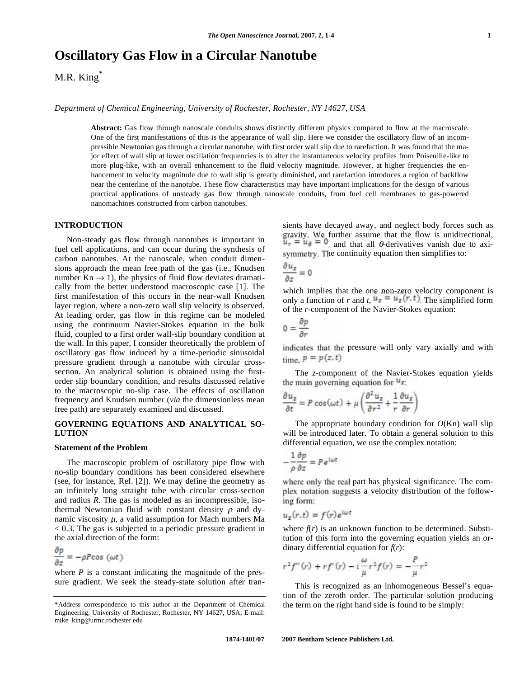# **Oscillatory Gas Flow in a Circular Nanotube**

M.R. King<sup>\*</sup>

*Department of Chemical Engineering, University of Rochester, Rochester, NY 14627, USA* 

**Abstract:** Gas flow through nanoscale conduits shows distinctly different physics compared to flow at the macroscale. One of the first manifestations of this is the appearance of wall slip. Here we consider the oscillatory flow of an incompressible Newtonian gas through a circular nanotube, with first order wall slip due to rarefaction. It was found that the major effect of wall slip at lower oscillation frequencies is to alter the instantaneous velocity profiles from Poiseuille-like to more plug-like, with an overall enhancement to the fluid velocity magnitude. However, at higher frequencies the enhancement to velocity magnitude due to wall slip is greatly diminished, and rarefaction introduces a region of backflow near the centerline of the nanotube. These flow characteristics may have important implications for the design of various practical applications of unsteady gas flow through nanoscale conduits, from fuel cell membranes to gas-powered nanomachines constructed from carbon nanotubes.

## **INTRODUCTION**

 Non-steady gas flow through nanotubes is important in fuel cell applications, and can occur during the synthesis of carbon nanotubes. At the nanoscale, when conduit dimensions approach the mean free path of the gas (i.e., Knudsen number  $Kn \rightarrow 1$ ), the physics of fluid flow deviates dramatically from the better understood macroscopic case [1]. The first manifestation of this occurs in the near-wall Knudsen layer region, where a non-zero wall slip velocity is observed. At leading order, gas flow in this regime can be modeled using the continuum Navier-Stokes equation in the bulk fluid, coupled to a first order wall-slip boundary condition at the wall. In this paper, I consider theoretically the problem of oscillatory gas flow induced by a time-periodic sinusoidal pressure gradient through a nanotube with circular crosssection. An analytical solution is obtained using the firstorder slip boundary condition, and results discussed relative to the macroscopic no-slip case. The effects of oscillation frequency and Knudsen number (*via* the dimensionless mean free path) are separately examined and discussed.

# **GOVERNING EQUATIONS AND ANALYTICAL SO-LUTION**

#### **Statement of the Problem**

 The macroscopic problem of oscillatory pipe flow with no-slip boundary conditions has been considered elsewhere (see, for instance, Ref. [2]). We may define the geometry as an infinitely long straight tube with circular cross-section and radius *R*. The gas is modeled as an incompressible, isothermal Newtonian fluid with constant density  $\rho$  and dynamic viscosity  $\mu$ , a valid assumption for Mach numbers Ma < 0.3. The gas is subjected to a periodic pressure gradient in the axial direction of the form:

$$
\frac{\partial p}{\partial z} = -\rho P \cos(\omega t)
$$

where *P* is a constant indicating the magnitude of the pressure gradient. We seek the steady-state solution after transients have decayed away, and neglect body forces such as gravity. We further assume that the flow is unidirectional, , and that all  $\theta$ -derivatives vanish due to axisymmetry. The continuity equation then simplifies to:

$$
\frac{\partial u_z}{\partial z}=0
$$

which implies that the one non-zero velocity component is only a function of *r* and *t*,  $u_x = u_x(r, t)$  The simplified form of the *r*-component of the Navier-Stokes equation:

$$
0 = \frac{\partial p}{\partial r}
$$

indicates that the pressure will only vary axially and with time,  $p = p(z, t)$ 

 The *z*-component of the Navier-Stokes equation yields the main governing equation for  $u_{\overline{z}}$ .

$$
\frac{\partial u_z}{\partial t} = P \cos(\omega t) + \mu \left( \frac{\partial^2 u_z}{\partial r^2} + \frac{1}{r} \frac{\partial u_z}{\partial r} \right)
$$

The appropriate boundary condition for  $O(Kn)$  wall slip will be introduced later. To obtain a general solution to this differential equation, we use the complex notation:

$$
-\frac{1}{\rho}\frac{\partial p}{\partial z} = Pe^{i\omega t}
$$

where only the real part has physical significance. The complex notation suggests a velocity distribution of the following form:

$$
u_z(r,t) = f(r)e^{i\omega t}
$$

where  $f(r)$  is an unknown function to be determined. Substitution of this form into the governing equation yields an ordinary differential equation for  $f(r)$ :

$$
r^{2} f''(r) + r f'(r) - i \frac{\omega}{\mu} r^{2} f(r) = -\frac{P}{\mu} r^{2}
$$

 This is recognized as an inhomogeneous Bessel's equation of the zeroth order. The particular solution producing the term on the right hand side is found to be simply:

<sup>\*</sup>Address correspondence to this author at the Department of Chemical Engineering, University of Rochester, Rochester, NY 14627, USA; E-mail: mike\_king@urmc.rochester.edu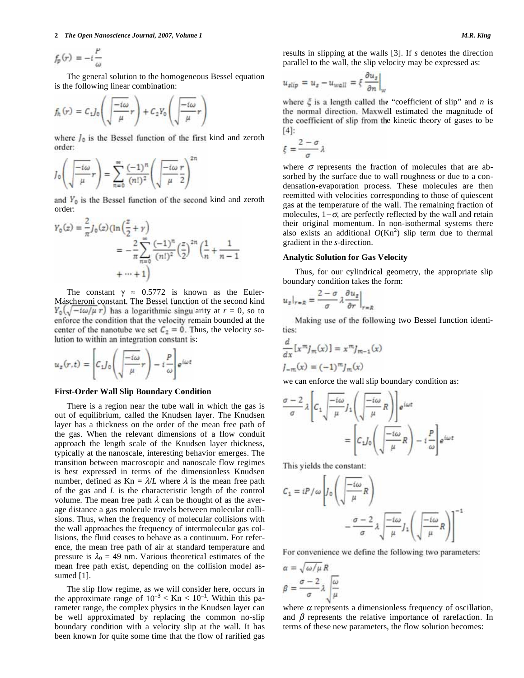#### **2** *The Open Nanoscience Journal, 2007, Volume 1* **Mass 2007,** *Magnetic 30**M.R. King 3007, Volume 1* **M.R.** *King 3007, Volume 1* **Magnetic 30** *M.R. King 3007, Volume 1* **Magnetic 30** *M.R. King 3007, Volume 1* **Magnetic 30**

$$
f_p(r) = -i\frac{P}{\omega}
$$

 The general solution to the homogeneous Bessel equation is the following linear combination:

$$
f_h(r) = C_1 J_0 \left( \sqrt{\frac{-i\omega}{\mu}} r \right) + C_2 Y_0 \left( \sqrt{\frac{-i\omega}{\mu}} r \right)
$$

where  $I_0$  is the Bessel function of the first kind and zeroth order:

$$
J_0\left(\sqrt{\frac{-i\omega}{\mu}}r\right) = \sum_{n=0}^{\infty} \frac{(-1)^n}{(n!)^2} \left(\sqrt{\frac{-i\omega}{\mu}}\frac{r}{2}\right)^2
$$

and  $Y_0$  is the Bessel function of the second kind and zeroth order:

$$
Y_0(z) = \frac{2}{\pi} J_0(z) (\ln(\frac{z}{2} + \gamma))
$$
  
=  $-\frac{2}{\pi} \sum_{n=0}^{\infty} \frac{(-1)^n}{(n!)^2} (\frac{z}{2})^{2n} (\frac{1}{n} + \frac{1}{n-1})$   
+  $\cdots$  + 1)

The constant  $\gamma \approx 0.5772$  is known as the Euler-Máscheroni constant. The Bessel function of the second kind  $Y_0(\sqrt{-t\omega/\mu} r)$  has a logarithmic singularity at  $r = 0$ , so to enforce the condition that the velocity remain bounded at the center of the nanotube we set  $C_2 = 0$ . Thus, the velocity solution to within an integration constant is:

$$
u_z(r,t) = \left[ C_1 J_0 \left( \sqrt{\frac{-i\omega}{\mu}} r \right) - i \frac{P}{\omega} \right] e^{i\omega t}
$$

#### **First-Order Wall Slip Boundary Condition**

 There is a region near the tube wall in which the gas is out of equilibrium, called the Knudsen layer. The Knudsen layer has a thickness on the order of the mean free path of the gas. When the relevant dimensions of a flow conduit approach the length scale of the Knudsen layer thickness, typically at the nanoscale, interesting behavior emerges. The transition between macroscopic and nanoscale flow regimes is best expressed in terms of the dimensionless Knudsen number, defined as  $Kn = \lambda/L$  where  $\lambda$  is the mean free path of the gas and *L* is the characteristic length of the control volume. The mean free path  $\lambda$  can be thought of as the average distance a gas molecule travels between molecular collisions. Thus, when the frequency of molecular collisions with the wall approaches the frequency of intermolecular gas collisions, the fluid ceases to behave as a continuum. For reference, the mean free path of air at standard temperature and pressure is  $\lambda_0 = 49$  nm. Various theoretical estimates of the mean free path exist, depending on the collision model assumed [1].

 The slip flow regime, as we will consider here, occurs in the approximate range of  $10^{-3} <$  Kn  $< 10^{-1}$ . Within this parameter range, the complex physics in the Knudsen layer can be well approximated by replacing the common no-slip boundary condition with a velocity slip at the wall. It has been known for quite some time that the flow of rarified gas results in slipping at the walls [3]. If *s* denotes the direction parallel to the wall, the slip velocity may be expressed as:

$$
u_{\text{slip}} = u_{\text{I}} - u_{\text{wall}} = \xi \left. \frac{\partial u_{\text{I}}}{\partial n} \right|_{w}
$$

where  $\xi$  is a length called the "coefficient of slip" and *n* is the normal direction. Maxwell estimated the magnitude of the coefficient of slip from the kinetic theory of gases to be [4]:

$$
\xi = \frac{2-\sigma}{\sigma} \lambda
$$

where  $\sigma$  represents the fraction of molecules that are absorbed by the surface due to wall roughness or due to a condensation-evaporation process. These molecules are then reemitted with velocities corresponding to those of quiescent gas at the temperature of the wall. The remaining fraction of molecules,  $1-\sigma$ , are perfectly reflected by the wall and retain their original momentum. In non-isothermal systems there also exists an additional  $O(Kn^2)$  slip term due to thermal gradient in the *s*-direction.

#### **Analytic Solution for Gas Velocity**

 Thus, for our cylindrical geometry, the appropriate slip boundary condition takes the form:

$$
u_z|_{r=R} = \frac{2-\sigma}{\sigma} \lambda \frac{\partial u_z}{\partial r}\Big|_{r=R}
$$

 Making use of the following two Bessel function identities:

$$
\frac{d}{dx}\left[x^m j_m(x)\right] = x^m j_{m-1}(x)
$$

$$
j_{-m}(x) = (-1)^m j_m(x)
$$

we can enforce the wall slip boundary condition as:

$$
\frac{\sigma - 2}{\sigma} \lambda \left[ C_1 \sqrt{\frac{-i\omega}{\mu}} J_1 \left( \sqrt{\frac{-i\omega}{\mu}} R \right) \right] e^{i\omega t}
$$

$$
= \left[ C_1 J_0 \left( \sqrt{\frac{-i\omega}{\mu}} R \right) - i \frac{P}{\omega} \right] e^{i\omega t}
$$

This yields the constant:

$$
C_1 = iP/\omega \left[ J_0 \left( \sqrt{\frac{-i\omega}{\mu}} R \right) - \frac{\sigma - 2}{\sigma} \lambda \sqrt{\frac{-i\omega}{\mu}} J_1 \left( \sqrt{\frac{-i\omega}{\mu}} R \right) \right]^{-1}
$$

For convenience we define the following two parameters:

$$
\alpha = \sqrt{\omega/\mu} R
$$

$$
\beta = \frac{\sigma - 2}{\sigma} \lambda \sqrt{\frac{\omega}{\mu}}
$$

where  $\alpha$  represents a dimensionless frequency of oscillation, and  $\beta$  represents the relative importance of rarefaction. In terms of these new parameters, the flow solution becomes: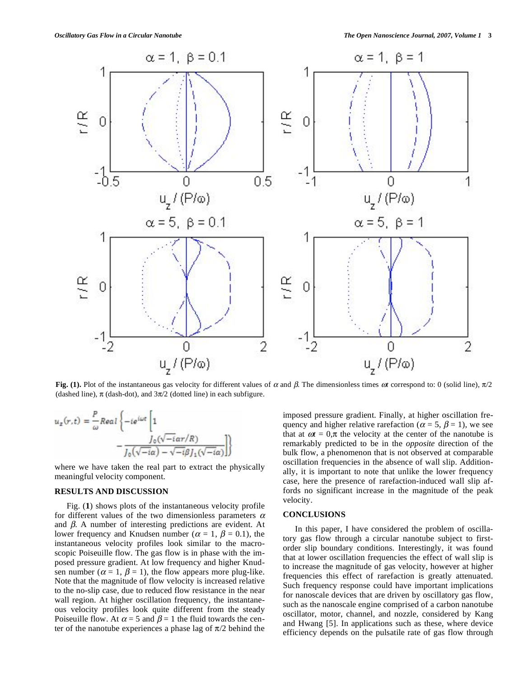

Fig. (1). Plot of the instantaneous gas velocity for different values of  $\alpha$  and  $\beta$ . The dimensionless times  $\alpha t$  correspond to: 0 (solid line),  $\pi/2$ (dashed line),  $\pi$  (dash-dot), and  $3\pi/2$  (dotted line) in each subfigure.

$$
u_z(r,t) = \frac{P}{\omega} Real \left\{-ie^{i\omega t} \left[1 - \frac{J_0(\sqrt{-t}\alpha r/R)}{J_0(\sqrt{-t}\alpha) - \sqrt{-t}\beta J_1(\sqrt{-t}\alpha)}\right]\right\}
$$

where we have taken the real part to extract the physically meaningful velocity component.

# **RESULTS AND DISCUSSION**

 Fig. (**1**) shows plots of the instantaneous velocity profile for different values of the two dimensionless parameters  $\alpha$ and  $\beta$ . A number of interesting predictions are evident. At lower frequency and Knudsen number ( $\alpha = 1$ ,  $\beta = 0.1$ ), the instantaneous velocity profiles look similar to the macroscopic Poiseuille flow. The gas flow is in phase with the imposed pressure gradient. At low frequency and higher Knudsen number ( $\alpha = 1$ ,  $\beta = 1$ ), the flow appears more plug-like. Note that the magnitude of flow velocity is increased relative to the no-slip case, due to reduced flow resistance in the near wall region. At higher oscillation frequency, the instantaneous velocity profiles look quite different from the steady Poiseuille flow. At  $\alpha = 5$  and  $\beta = 1$  the fluid towards the center of the nanotube experiences a phase lag of  $\pi/2$  behind the

imposed pressure gradient. Finally, at higher oscillation frequency and higher relative rarefaction ( $\alpha = 5$ ,  $\beta = 1$ ), we see that at  $\omega t = 0$ , $\pi$  the velocity at the center of the nanotube is remarkably predicted to be in the *opposite* direction of the bulk flow, a phenomenon that is not observed at comparable oscillation frequencies in the absence of wall slip. Additionally, it is important to note that unlike the lower frequency case, here the presence of rarefaction-induced wall slip affords no significant increase in the magnitude of the peak velocity.

#### **CONCLUSIONS**

 In this paper, I have considered the problem of oscillatory gas flow through a circular nanotube subject to firstorder slip boundary conditions. Interestingly, it was found that at lower oscillation frequencies the effect of wall slip is to increase the magnitude of gas velocity, however at higher frequencies this effect of rarefaction is greatly attenuated. Such frequency response could have important implications for nanoscale devices that are driven by oscillatory gas flow, such as the nanoscale engine comprised of a carbon nanotube oscillator, motor, channel, and nozzle, considered by Kang and Hwang [5]. In applications such as these, where device efficiency depends on the pulsatile rate of gas flow through